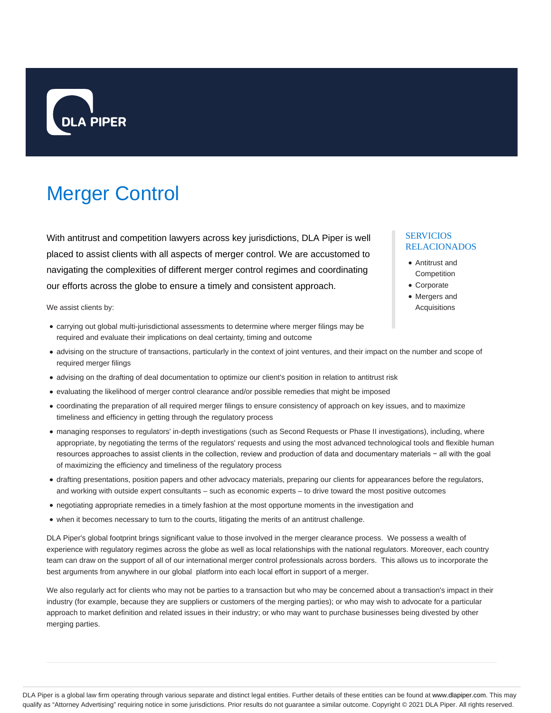

# Merger Control

With antitrust and competition lawyers across key jurisdictions, DLA Piper is well placed to assist clients with all aspects of merger control. We are accustomed to navigating the complexities of different merger control regimes and coordinating our efforts across the globe to ensure a timely and consistent approach.

We assist clients by:

- carrying out global multi-jurisdictional assessments to determine where merger filings may be required and evaluate their implications on deal certainty, timing and outcome
- advising on the structure of transactions, particularly in the context of joint ventures, and their impact on the number and scope of required merger filings
- advising on the drafting of deal documentation to optimize our client's position in relation to antitrust risk
- evaluating the likelihood of merger control clearance and/or possible remedies that might be imposed
- coordinating the preparation of all required merger filings to ensure consistency of approach on key issues, and to maximize timeliness and efficiency in getting through the regulatory process
- managing responses to regulators' in-depth investigations (such as Second Requests or Phase II investigations), including, where appropriate, by negotiating the terms of the regulators' requests and using the most advanced technological tools and flexible human resources approaches to assist clients in the collection, review and production of data and documentary materials − all with the goal of maximizing the efficiency and timeliness of the regulatory process
- drafting presentations, position papers and other advocacy materials, preparing our clients for appearances before the regulators, and working with outside expert consultants – such as economic experts – to drive toward the most positive outcomes
- negotiating appropriate remedies in a timely fashion at the most opportune moments in the investigation and
- when it becomes necessary to turn to the courts, litigating the merits of an antitrust challenge.

DLA Piper's global footprint brings significant value to those involved in the merger clearance process. We possess a wealth of experience with regulatory regimes across the globe as well as local relationships with the national regulators. Moreover, each country team can draw on the support of all of our international merger control professionals across borders. This allows us to incorporate the best arguments from anywhere in our global platform into each local effort in support of a merger.

We also regularly act for clients who may not be parties to a transaction but who may be concerned about a transaction's impact in their industry (for example, because they are suppliers or customers of the merging parties); or who may wish to advocate for a particular approach to market definition and related issues in their industry; or who may want to purchase businesses being divested by other merging parties.

#### SERVICIOS RELACIONADOS

- Antitrust and **Competition**
- Corporate
- Mergers and Acquisitions